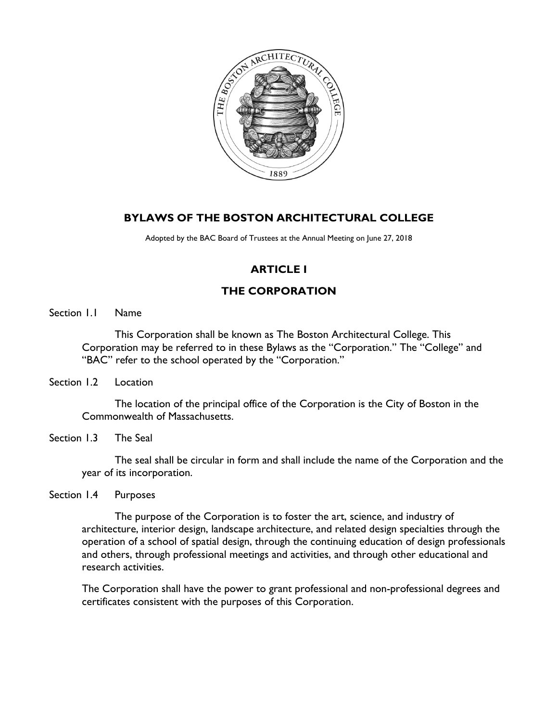

# **BYLAWS OF THE BOSTON ARCHITECTURAL COLLEGE**

Adopted by the BAC Board of Trustees at the Annual Meeting on June 27, 2018

# **ARTICLE I**

# **THE CORPORATION**

Section 1.1 Name

This Corporation shall be known as The Boston Architectural College. This Corporation may be referred to in these Bylaws as the "Corporation." The "College" and "BAC" refer to the school operated by the "Corporation."

Section 1.2 Location

The location of the principal office of the Corporation is the City of Boston in the Commonwealth of Massachusetts.

Section 1.3 The Seal

The seal shall be circular in form and shall include the name of the Corporation and the year of its incorporation.

Section 1.4 Purposes

The purpose of the Corporation is to foster the art, science, and industry of architecture, interior design, landscape architecture, and related design specialties through the operation of a school of spatial design, through the continuing education of design professionals and others, through professional meetings and activities, and through other educational and research activities.

The Corporation shall have the power to grant professional and non-professional degrees and certificates consistent with the purposes of this Corporation.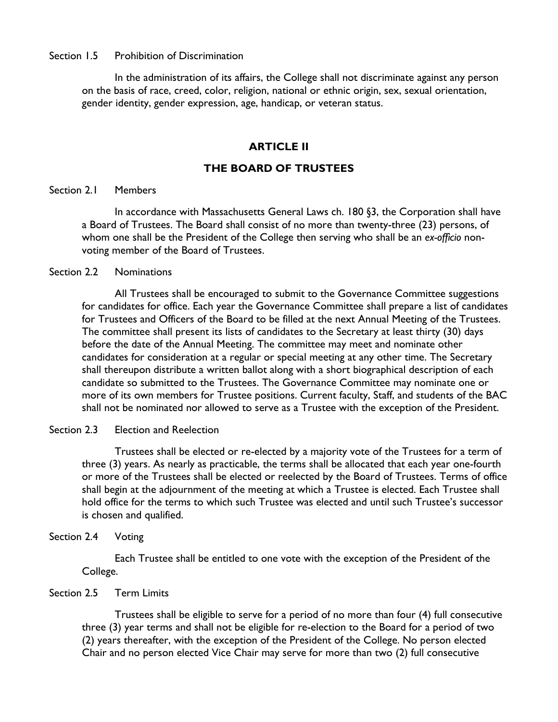## Section 1.5 Prohibition of Discrimination

In the administration of its affairs, the College shall not discriminate against any person on the basis of race, creed, color, religion, national or ethnic origin, sex, sexual orientation, gender identity, gender expression, age, handicap, or veteran status.

# **ARTICLE II**

# **THE BOARD OF TRUSTEES**

## Section 2.1 Members

In accordance with Massachusetts General Laws ch. 180 §3, the Corporation shall have a Board of Trustees. The Board shall consist of no more than twenty-three (23) persons, of whom one shall be the President of the College then serving who shall be an *ex-officio* nonvoting member of the Board of Trustees.

### Section 2.2 Nominations

All Trustees shall be encouraged to submit to the Governance Committee suggestions for candidates for office. Each year the Governance Committee shall prepare a list of candidates for Trustees and Officers of the Board to be filled at the next Annual Meeting of the Trustees. The committee shall present its lists of candidates to the Secretary at least thirty (30) days before the date of the Annual Meeting. The committee may meet and nominate other candidates for consideration at a regular or special meeting at any other time. The Secretary shall thereupon distribute a written ballot along with a short biographical description of each candidate so submitted to the Trustees. The Governance Committee may nominate one or more of its own members for Trustee positions. Current faculty, Staff, and students of the BAC shall not be nominated nor allowed to serve as a Trustee with the exception of the President.

# Section 2.3 Election and Reelection

Trustees shall be elected or re-elected by a majority vote of the Trustees for a term of three (3) years. As nearly as practicable, the terms shall be allocated that each year one-fourth or more of the Trustees shall be elected or reelected by the Board of Trustees. Terms of office shall begin at the adjournment of the meeting at which a Trustee is elected. Each Trustee shall hold office for the terms to which such Trustee was elected and until such Trustee's successor is chosen and qualified.

### Section 2.4 Voting

Each Trustee shall be entitled to one vote with the exception of the President of the College.

# Section 2.5 Term Limits

Trustees shall be eligible to serve for a period of no more than four (4) full consecutive three (3) year terms and shall not be eligible for re-election to the Board for a period of two (2) years thereafter, with the exception of the President of the College. No person elected Chair and no person elected Vice Chair may serve for more than two (2) full consecutive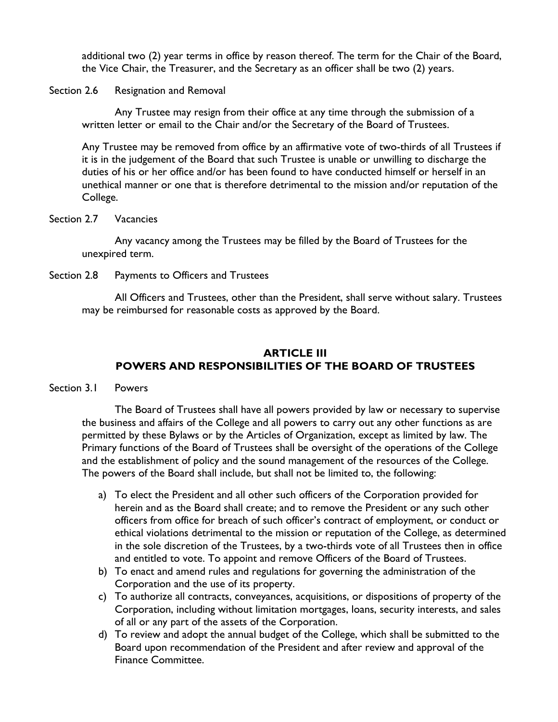additional two (2) year terms in office by reason thereof. The term for the Chair of the Board, the Vice Chair, the Treasurer, and the Secretary as an officer shall be two (2) years.

Section 2.6 Resignation and Removal

Any Trustee may resign from their office at any time through the submission of a written letter or email to the Chair and/or the Secretary of the Board of Trustees.

Any Trustee may be removed from office by an affirmative vote of two-thirds of all Trustees if it is in the judgement of the Board that such Trustee is unable or unwilling to discharge the duties of his or her office and/or has been found to have conducted himself or herself in an unethical manner or one that is therefore detrimental to the mission and/or reputation of the College.

Section 2.7 Vacancies

Any vacancy among the Trustees may be filled by the Board of Trustees for the unexpired term.

Section 2.8 Payments to Officers and Trustees

All Officers and Trustees, other than the President, shall serve without salary. Trustees may be reimbursed for reasonable costs as approved by the Board.

# **ARTICLE III POWERS AND RESPONSIBILITIES OF THE BOARD OF TRUSTEES**

## Section 3.1 Powers

The Board of Trustees shall have all powers provided by law or necessary to supervise the business and affairs of the College and all powers to carry out any other functions as are permitted by these Bylaws or by the Articles of Organization, except as limited by law. The Primary functions of the Board of Trustees shall be oversight of the operations of the College and the establishment of policy and the sound management of the resources of the College. The powers of the Board shall include, but shall not be limited to, the following:

- a) To elect the President and all other such officers of the Corporation provided for herein and as the Board shall create; and to remove the President or any such other officers from office for breach of such officer's contract of employment, or conduct or ethical violations detrimental to the mission or reputation of the College, as determined in the sole discretion of the Trustees, by a two-thirds vote of all Trustees then in office and entitled to vote. To appoint and remove Officers of the Board of Trustees.
- b) To enact and amend rules and regulations for governing the administration of the Corporation and the use of its property.
- c) To authorize all contracts, conveyances, acquisitions, or dispositions of property of the Corporation, including without limitation mortgages, loans, security interests, and sales of all or any part of the assets of the Corporation.
- d) To review and adopt the annual budget of the College, which shall be submitted to the Board upon recommendation of the President and after review and approval of the Finance Committee.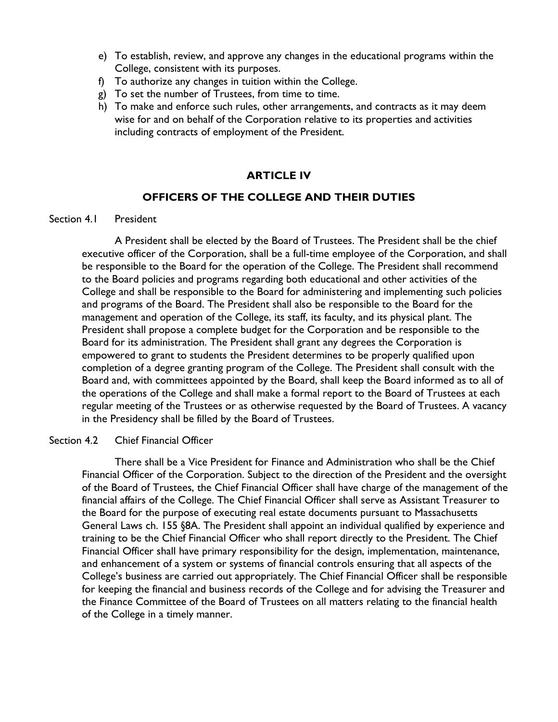- e) To establish, review, and approve any changes in the educational programs within the College, consistent with its purposes.
- f) To authorize any changes in tuition within the College.
- g) To set the number of Trustees, from time to time.
- h) To make and enforce such rules, other arrangements, and contracts as it may deem wise for and on behalf of the Corporation relative to its properties and activities including contracts of employment of the President.

# **ARTICLE IV**

# **OFFICERS OF THE COLLEGE AND THEIR DUTIES**

#### Section 4.1 President

A President shall be elected by the Board of Trustees. The President shall be the chief executive officer of the Corporation, shall be a full-time employee of the Corporation, and shall be responsible to the Board for the operation of the College. The President shall recommend to the Board policies and programs regarding both educational and other activities of the College and shall be responsible to the Board for administering and implementing such policies and programs of the Board. The President shall also be responsible to the Board for the management and operation of the College, its staff, its faculty, and its physical plant. The President shall propose a complete budget for the Corporation and be responsible to the Board for its administration. The President shall grant any degrees the Corporation is empowered to grant to students the President determines to be properly qualified upon completion of a degree granting program of the College. The President shall consult with the Board and, with committees appointed by the Board, shall keep the Board informed as to all of the operations of the College and shall make a formal report to the Board of Trustees at each regular meeting of the Trustees or as otherwise requested by the Board of Trustees. A vacancy in the Presidency shall be filled by the Board of Trustees.

#### Section 4.2 Chief Financial Officer

There shall be a Vice President for Finance and Administration who shall be the Chief Financial Officer of the Corporation. Subject to the direction of the President and the oversight of the Board of Trustees, the Chief Financial Officer shall have charge of the management of the financial affairs of the College. The Chief Financial Officer shall serve as Assistant Treasurer to the Board for the purpose of executing real estate documents pursuant to Massachusetts General Laws ch. 155 §8A. The President shall appoint an individual qualified by experience and training to be the Chief Financial Officer who shall report directly to the President. The Chief Financial Officer shall have primary responsibility for the design, implementation, maintenance, and enhancement of a system or systems of financial controls ensuring that all aspects of the College's business are carried out appropriately. The Chief Financial Officer shall be responsible for keeping the financial and business records of the College and for advising the Treasurer and the Finance Committee of the Board of Trustees on all matters relating to the financial health of the College in a timely manner.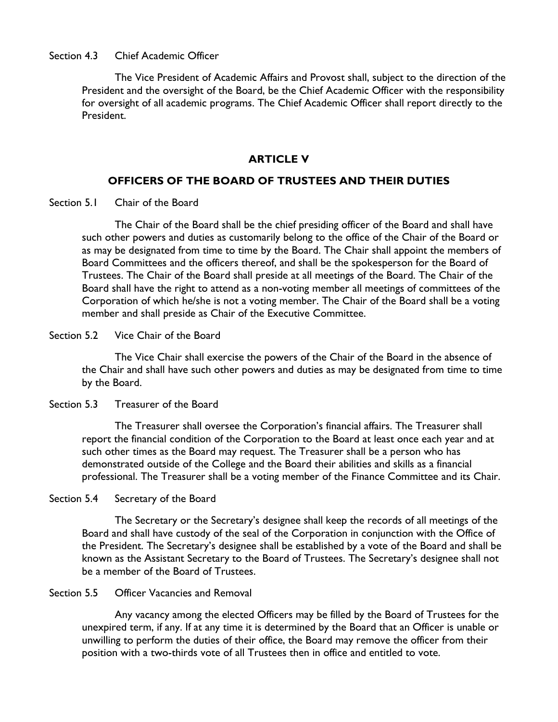## Section 4.3 Chief Academic Officer

The Vice President of Academic Affairs and Provost shall, subject to the direction of the President and the oversight of the Board, be the Chief Academic Officer with the responsibility for oversight of all academic programs. The Chief Academic Officer shall report directly to the President.

### **ARTICLE V**

## **OFFICERS OF THE BOARD OF TRUSTEES AND THEIR DUTIES**

Section 5.1 Chair of the Board

The Chair of the Board shall be the chief presiding officer of the Board and shall have such other powers and duties as customarily belong to the office of the Chair of the Board or as may be designated from time to time by the Board. The Chair shall appoint the members of Board Committees and the officers thereof, and shall be the spokesperson for the Board of Trustees. The Chair of the Board shall preside at all meetings of the Board. The Chair of the Board shall have the right to attend as a non-voting member all meetings of committees of the Corporation of which he/she is not a voting member. The Chair of the Board shall be a voting member and shall preside as Chair of the Executive Committee.

Section 5.2 Vice Chair of the Board

The Vice Chair shall exercise the powers of the Chair of the Board in the absence of the Chair and shall have such other powers and duties as may be designated from time to time by the Board.

#### Section 5.3 Treasurer of the Board

The Treasurer shall oversee the Corporation's financial affairs. The Treasurer shall report the financial condition of the Corporation to the Board at least once each year and at such other times as the Board may request. The Treasurer shall be a person who has demonstrated outside of the College and the Board their abilities and skills as a financial professional. The Treasurer shall be a voting member of the Finance Committee and its Chair.

Section 5.4 Secretary of the Board

The Secretary or the Secretary's designee shall keep the records of all meetings of the Board and shall have custody of the seal of the Corporation in conjunction with the Office of the President. The Secretary's designee shall be established by a vote of the Board and shall be known as the Assistant Secretary to the Board of Trustees. The Secretary's designee shall not be a member of the Board of Trustees.

#### Section 5.5 Officer Vacancies and Removal

Any vacancy among the elected Officers may be filled by the Board of Trustees for the unexpired term, if any. If at any time it is determined by the Board that an Officer is unable or unwilling to perform the duties of their office, the Board may remove the officer from their position with a two-thirds vote of all Trustees then in office and entitled to vote.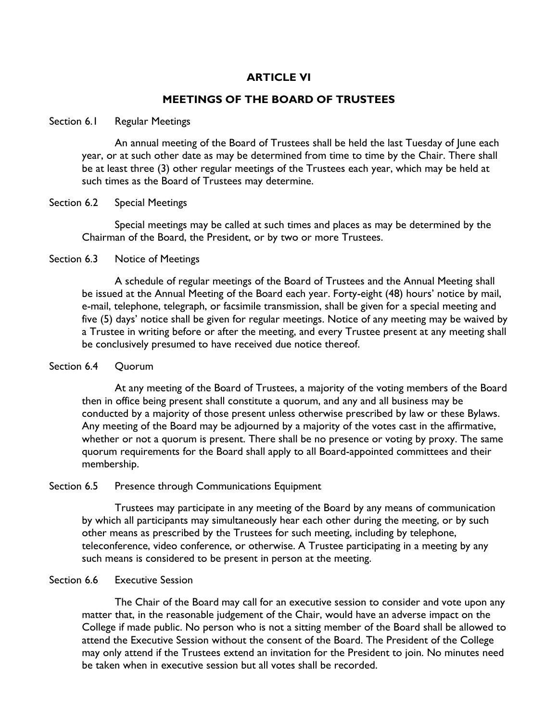# **ARTICLE VI**

## **MEETINGS OF THE BOARD OF TRUSTEES**

#### Section 6.1 Regular Meetings

An annual meeting of the Board of Trustees shall be held the last Tuesday of June each year, or at such other date as may be determined from time to time by the Chair. There shall be at least three (3) other regular meetings of the Trustees each year, which may be held at such times as the Board of Trustees may determine.

#### Section 6.2 Special Meetings

Special meetings may be called at such times and places as may be determined by the Chairman of the Board, the President, or by two or more Trustees.

#### Section 6.3 Notice of Meetings

A schedule of regular meetings of the Board of Trustees and the Annual Meeting shall be issued at the Annual Meeting of the Board each year. Forty-eight (48) hours' notice by mail, e-mail, telephone, telegraph, or facsimile transmission, shall be given for a special meeting and five (5) days' notice shall be given for regular meetings. Notice of any meeting may be waived by a Trustee in writing before or after the meeting, and every Trustee present at any meeting shall be conclusively presumed to have received due notice thereof.

### Section 6.4 Quorum

At any meeting of the Board of Trustees, a majority of the voting members of the Board then in office being present shall constitute a quorum, and any and all business may be conducted by a majority of those present unless otherwise prescribed by law or these Bylaws. Any meeting of the Board may be adjourned by a majority of the votes cast in the affirmative, whether or not a quorum is present. There shall be no presence or voting by proxy. The same quorum requirements for the Board shall apply to all Board-appointed committees and their membership.

#### Section 6.5 Presence through Communications Equipment

Trustees may participate in any meeting of the Board by any means of communication by which all participants may simultaneously hear each other during the meeting, or by such other means as prescribed by the Trustees for such meeting, including by telephone, teleconference, video conference, or otherwise. A Trustee participating in a meeting by any such means is considered to be present in person at the meeting.

#### Section 6.6 Executive Session

The Chair of the Board may call for an executive session to consider and vote upon any matter that, in the reasonable judgement of the Chair, would have an adverse impact on the College if made public. No person who is not a sitting member of the Board shall be allowed to attend the Executive Session without the consent of the Board. The President of the College may only attend if the Trustees extend an invitation for the President to join. No minutes need be taken when in executive session but all votes shall be recorded.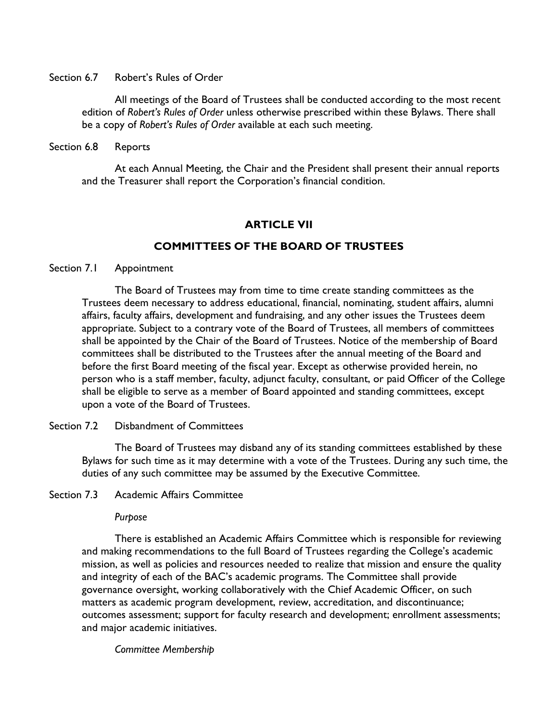Section 6.7 Robert's Rules of Order

All meetings of the Board of Trustees shall be conducted according to the most recent edition of *Robert's Rules of Order* unless otherwise prescribed within these Bylaws. There shall be a copy of *Robert's Rules of Order* available at each such meeting.

### Section 6.8 Reports

At each Annual Meeting, the Chair and the President shall present their annual reports and the Treasurer shall report the Corporation's financial condition.

# **ARTICLE VII**

# **COMMITTEES OF THE BOARD OF TRUSTEES**

Section 7.1 Appointment

The Board of Trustees may from time to time create standing committees as the Trustees deem necessary to address educational, financial, nominating, student affairs, alumni affairs, faculty affairs, development and fundraising, and any other issues the Trustees deem appropriate. Subject to a contrary vote of the Board of Trustees, all members of committees shall be appointed by the Chair of the Board of Trustees. Notice of the membership of Board committees shall be distributed to the Trustees after the annual meeting of the Board and before the first Board meeting of the fiscal year. Except as otherwise provided herein, no person who is a staff member, faculty, adjunct faculty, consultant, or paid Officer of the College shall be eligible to serve as a member of Board appointed and standing committees, except upon a vote of the Board of Trustees.

## Section 7.2 Disbandment of Committees

The Board of Trustees may disband any of its standing committees established by these Bylaws for such time as it may determine with a vote of the Trustees. During any such time, the duties of any such committee may be assumed by the Executive Committee.

#### Section 7.3 Academic Affairs Committee

#### *Purpose*

There is established an Academic Affairs Committee which is responsible for reviewing and making recommendations to the full Board of Trustees regarding the College's academic mission, as well as policies and resources needed to realize that mission and ensure the quality and integrity of each of the BAC's academic programs. The Committee shall provide governance oversight, working collaboratively with the Chief Academic Officer, on such matters as academic program development, review, accreditation, and discontinuance; outcomes assessment; support for faculty research and development; enrollment assessments; and major academic initiatives.

*Committee Membership*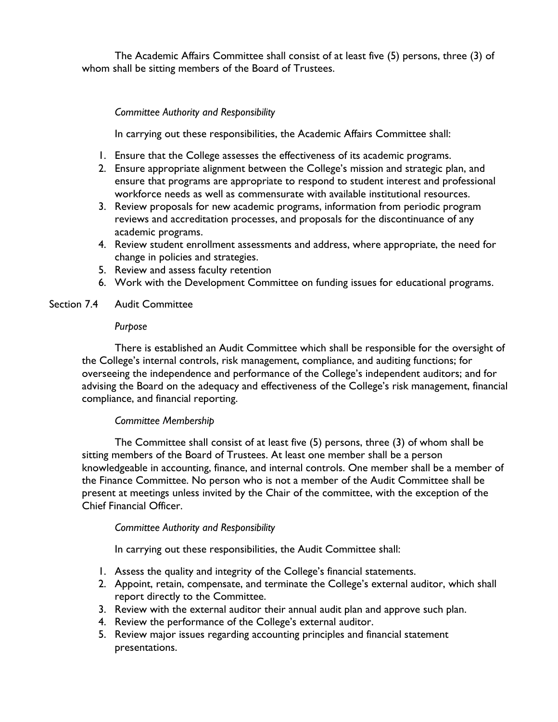The Academic Affairs Committee shall consist of at least five (5) persons, three (3) of whom shall be sitting members of the Board of Trustees.

# *Committee Authority and Responsibility*

In carrying out these responsibilities, the Academic Affairs Committee shall:

- 1. Ensure that the College assesses the effectiveness of its academic programs.
- 2. Ensure appropriate alignment between the College's mission and strategic plan, and ensure that programs are appropriate to respond to student interest and professional workforce needs as well as commensurate with available institutional resources.
- 3. Review proposals for new academic programs, information from periodic program reviews and accreditation processes, and proposals for the discontinuance of any academic programs.
- 4. Review student enrollment assessments and address, where appropriate, the need for change in policies and strategies.
- 5. Review and assess faculty retention
- 6. Work with the Development Committee on funding issues for educational programs.

## Section 7.4 Audit Committee

### *Purpose*

There is established an Audit Committee which shall be responsible for the oversight of the College's internal controls, risk management, compliance, and auditing functions; for overseeing the independence and performance of the College's independent auditors; and for advising the Board on the adequacy and effectiveness of the College's risk management, financial compliance, and financial reporting.

## *Committee Membership*

The Committee shall consist of at least five (5) persons, three (3) of whom shall be sitting members of the Board of Trustees. At least one member shall be a person knowledgeable in accounting, finance, and internal controls. One member shall be a member of the Finance Committee. No person who is not a member of the Audit Committee shall be present at meetings unless invited by the Chair of the committee, with the exception of the Chief Financial Officer.

## *Committee Authority and Responsibility*

In carrying out these responsibilities, the Audit Committee shall:

- 1. Assess the quality and integrity of the College's financial statements.
- 2. Appoint, retain, compensate, and terminate the College's external auditor, which shall report directly to the Committee.
- 3. Review with the external auditor their annual audit plan and approve such plan.
- 4. Review the performance of the College's external auditor.
- 5. Review major issues regarding accounting principles and financial statement presentations.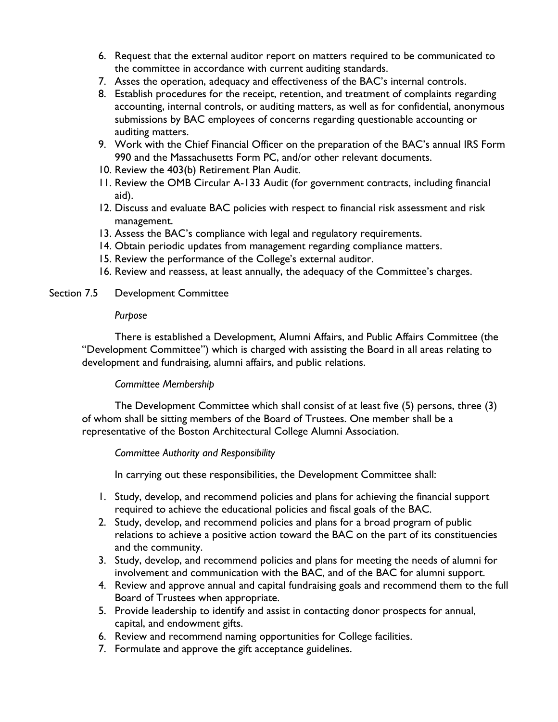- 6. Request that the external auditor report on matters required to be communicated to the committee in accordance with current auditing standards.
- 7. Asses the operation, adequacy and effectiveness of the BAC's internal controls.
- 8. Establish procedures for the receipt, retention, and treatment of complaints regarding accounting, internal controls, or auditing matters, as well as for confidential, anonymous submissions by BAC employees of concerns regarding questionable accounting or auditing matters.
- 9. Work with the Chief Financial Officer on the preparation of the BAC's annual IRS Form 990 and the Massachusetts Form PC, and/or other relevant documents.
- 10. Review the 403(b) Retirement Plan Audit.
- 11. Review the OMB Circular A-133 Audit (for government contracts, including financial aid).
- 12. Discuss and evaluate BAC policies with respect to financial risk assessment and risk management.
- 13. Assess the BAC's compliance with legal and regulatory requirements.
- 14. Obtain periodic updates from management regarding compliance matters.
- 15. Review the performance of the College's external auditor.
- 16. Review and reassess, at least annually, the adequacy of the Committee's charges.

## Section 7.5 Development Committee

### *Purpose*

There is established a Development, Alumni Affairs, and Public Affairs Committee (the "Development Committee") which is charged with assisting the Board in all areas relating to development and fundraising, alumni affairs, and public relations.

## *Committee Membership*

The Development Committee which shall consist of at least five (5) persons, three (3) of whom shall be sitting members of the Board of Trustees. One member shall be a representative of the Boston Architectural College Alumni Association.

## *Committee Authority and Responsibility*

In carrying out these responsibilities, the Development Committee shall:

- 1. Study, develop, and recommend policies and plans for achieving the financial support required to achieve the educational policies and fiscal goals of the BAC.
- 2. Study, develop, and recommend policies and plans for a broad program of public relations to achieve a positive action toward the BAC on the part of its constituencies and the community.
- 3. Study, develop, and recommend policies and plans for meeting the needs of alumni for involvement and communication with the BAC, and of the BAC for alumni support.
- 4. Review and approve annual and capital fundraising goals and recommend them to the full Board of Trustees when appropriate.
- 5. Provide leadership to identify and assist in contacting donor prospects for annual, capital, and endowment gifts.
- 6. Review and recommend naming opportunities for College facilities.
- 7. Formulate and approve the gift acceptance guidelines.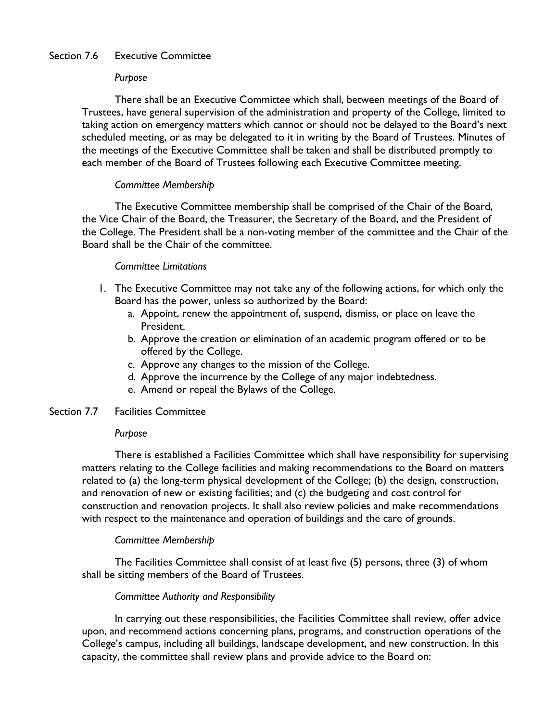# Section 7.6 Executive Committee

### *Purpose*

There shall be an Executive Committee which shall, between meetings of the Board of Trustees, have general supervision of the administration and property of the College, limited to taking action on emergency matters which cannot or should not be delayed to the Board's next scheduled meeting, or as may be delegated to it in writing by the Board of Trustees. Minutes of the meetings of the Executive Committee shall be taken and shall be distributed promptly to each member of the Board of Trustees following each Executive Committee meeting.

## *Committee Membership*

The Executive Committee membership shall be comprised of the Chair of the Board, the Vice Chair of the Board, the Treasurer, the Secretary of the Board, and the President of the College. The President shall be a non-voting member of the committee and the Chair of the Board shall be the Chair of the committee.

### *Committee Limitations*

- 1. The Executive Committee may not take any of the following actions, for which only the Board has the power, unless so authorized by the Board:
	- a. Appoint, renew the appointment of, suspend, dismiss, or place on leave the President.
	- b. Approve the creation or elimination of an academic program offered or to be offered by the College.
	- c. Approve any changes to the mission of the College.
	- d. Approve the incurrence by the College of any major indebtedness.
	- e. Amend or repeal the Bylaws of the College.

### Section 7.7 Facilities Committee

#### *Purpose*

There is established a Facilities Committee which shall have responsibility for supervising matters relating to the College facilities and making recommendations to the Board on matters related to (a) the long-term physical development of the College; (b) the design, construction, and renovation of new or existing facilities; and (c) the budgeting and cost control for construction and renovation projects. It shall also review policies and make recommendations with respect to the maintenance and operation of buildings and the care of grounds.

## *Committee Membership*

The Facilities Committee shall consist of at least five (5) persons, three (3) of whom shall be sitting members of the Board of Trustees.

#### *Committee Authority and Responsibility*

In carrying out these responsibilities, the Facilities Committee shall review, offer advice upon, and recommend actions concerning plans, programs, and construction operations of the College's campus, including all buildings, landscape development, and new construction. In this capacity, the committee shall review plans and provide advice to the Board on: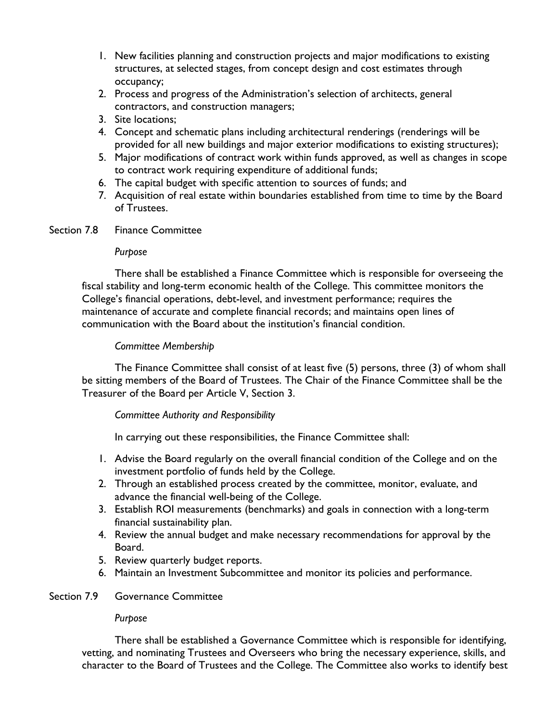- 1. New facilities planning and construction projects and major modifications to existing structures, at selected stages, from concept design and cost estimates through occupancy;
- 2. Process and progress of the Administration's selection of architects, general contractors, and construction managers;
- 3. Site locations;
- 4. Concept and schematic plans including architectural renderings (renderings will be provided for all new buildings and major exterior modifications to existing structures);
- 5. Major modifications of contract work within funds approved, as well as changes in scope to contract work requiring expenditure of additional funds;
- 6. The capital budget with specific attention to sources of funds; and
- 7. Acquisition of real estate within boundaries established from time to time by the Board of Trustees.
- Section 7.8 Finance Committee

#### *Purpose*

There shall be established a Finance Committee which is responsible for overseeing the fiscal stability and long-term economic health of the College. This committee monitors the College's financial operations, debt-level, and investment performance; requires the maintenance of accurate and complete financial records; and maintains open lines of communication with the Board about the institution's financial condition.

## *Committee Membership*

The Finance Committee shall consist of at least five (5) persons, three (3) of whom shall be sitting members of the Board of Trustees. The Chair of the Finance Committee shall be the Treasurer of the Board per Article V, Section 3.

## *Committee Authority and Responsibility*

In carrying out these responsibilities, the Finance Committee shall:

- 1. Advise the Board regularly on the overall financial condition of the College and on the investment portfolio of funds held by the College.
- 2. Through an established process created by the committee, monitor, evaluate, and advance the financial well-being of the College.
- 3. Establish ROI measurements (benchmarks) and goals in connection with a long-term financial sustainability plan.
- 4. Review the annual budget and make necessary recommendations for approval by the Board.
- 5. Review quarterly budget reports.
- 6. Maintain an Investment Subcommittee and monitor its policies and performance.

# Section 7.9 Governance Committee

## *Purpose*

There shall be established a Governance Committee which is responsible for identifying, vetting, and nominating Trustees and Overseers who bring the necessary experience, skills, and character to the Board of Trustees and the College. The Committee also works to identify best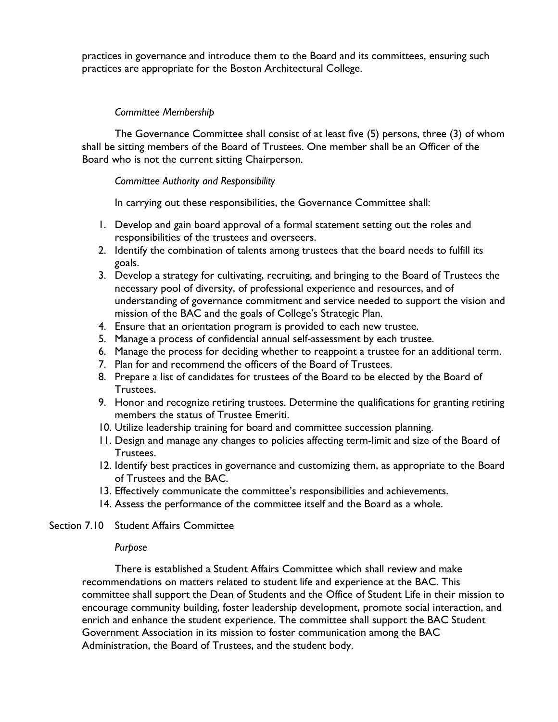practices in governance and introduce them to the Board and its committees, ensuring such practices are appropriate for the Boston Architectural College.

# *Committee Membership*

The Governance Committee shall consist of at least five (5) persons, three (3) of whom shall be sitting members of the Board of Trustees. One member shall be an Officer of the Board who is not the current sitting Chairperson.

# *Committee Authority and Responsibility*

In carrying out these responsibilities, the Governance Committee shall:

- 1. Develop and gain board approval of a formal statement setting out the roles and responsibilities of the trustees and overseers.
- 2. Identify the combination of talents among trustees that the board needs to fulfill its goals.
- 3. Develop a strategy for cultivating, recruiting, and bringing to the Board of Trustees the necessary pool of diversity, of professional experience and resources, and of understanding of governance commitment and service needed to support the vision and mission of the BAC and the goals of College's Strategic Plan.
- 4. Ensure that an orientation program is provided to each new trustee.
- 5. Manage a process of confidential annual self-assessment by each trustee.
- 6. Manage the process for deciding whether to reappoint a trustee for an additional term.
- 7. Plan for and recommend the officers of the Board of Trustees.
- 8. Prepare a list of candidates for trustees of the Board to be elected by the Board of Trustees.
- 9. Honor and recognize retiring trustees. Determine the qualifications for granting retiring members the status of Trustee Emeriti.
- 10. Utilize leadership training for board and committee succession planning.
- 11. Design and manage any changes to policies affecting term-limit and size of the Board of Trustees.
- 12. Identify best practices in governance and customizing them, as appropriate to the Board of Trustees and the BAC.
- 13. Effectively communicate the committee's responsibilities and achievements.
- 14. Assess the performance of the committee itself and the Board as a whole.

## Section 7.10 Student Affairs Committee

## *Purpose*

There is established a Student Affairs Committee which shall review and make recommendations on matters related to student life and experience at the BAC. This committee shall support the Dean of Students and the Office of Student Life in their mission to encourage community building, foster leadership development, promote social interaction, and enrich and enhance the student experience. The committee shall support the BAC Student Government Association in its mission to foster communication among the BAC Administration, the Board of Trustees, and the student body.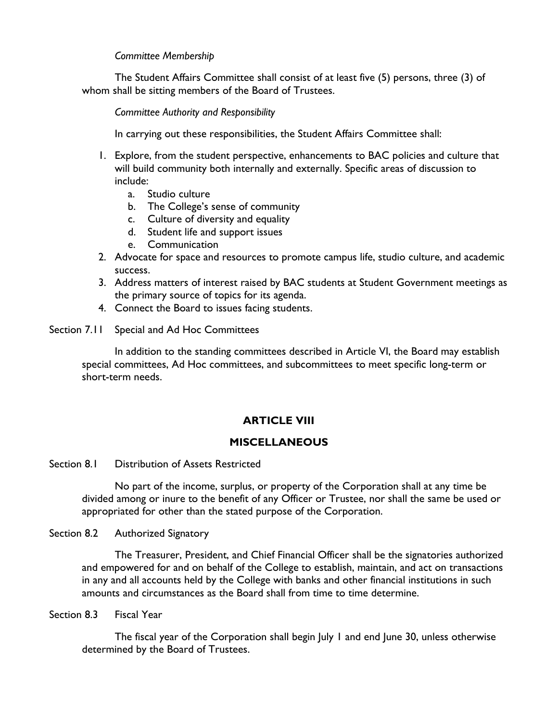## *Committee Membership*

The Student Affairs Committee shall consist of at least five (5) persons, three (3) of whom shall be sitting members of the Board of Trustees.

*Committee Authority and Responsibility*

In carrying out these responsibilities, the Student Affairs Committee shall:

- 1. Explore, from the student perspective, enhancements to BAC policies and culture that will build community both internally and externally. Specific areas of discussion to include:
	- a. Studio culture
	- b. The College's sense of community
	- c. Culture of diversity and equality
	- d. Student life and support issues
	- e. Communication
- 2. Advocate for space and resources to promote campus life, studio culture, and academic success.
- 3. Address matters of interest raised by BAC students at Student Government meetings as the primary source of topics for its agenda.
- 4. Connect the Board to issues facing students.

Section 7.11 Special and Ad Hoc Committees

In addition to the standing committees described in Article VI, the Board may establish special committees, Ad Hoc committees, and subcommittees to meet specific long-term or short-term needs.

# **ARTICLE VIII**

# **MISCELLANEOUS**

Section 8.1 Distribution of Assets Restricted

No part of the income, surplus, or property of the Corporation shall at any time be divided among or inure to the benefit of any Officer or Trustee, nor shall the same be used or appropriated for other than the stated purpose of the Corporation.

Section 8.2 Authorized Signatory

The Treasurer, President, and Chief Financial Officer shall be the signatories authorized and empowered for and on behalf of the College to establish, maintain, and act on transactions in any and all accounts held by the College with banks and other financial institutions in such amounts and circumstances as the Board shall from time to time determine.

Section 8.3 Fiscal Year

The fiscal year of the Corporation shall begin July 1 and end June 30, unless otherwise determined by the Board of Trustees.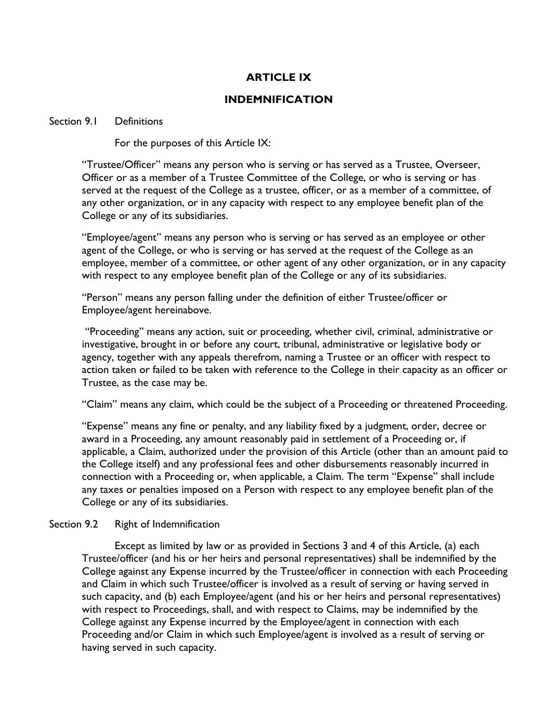# **ARTICLE IX**

## **INDEMNIFICATION**

### Section 9.1 Definitions

For the purposes of this Article IX:

"Trustee/Officer" means any person who is serving or has served as a Trustee, Overseer, Officer or as a member of a Trustee Committee of the College, or who is serving or has served at the request of the College as a trustee, officer, or as a member of a committee, of any other organization, or in any capacity with respect to any employee benefit plan of the College or any of its subsidiaries.

"Employee/agent" means any person who is serving or has served as an employee or other agent of the College, or who is serving or has served at the request of the College as an employee, member of a committee, or other agent of any other organization, or in any capacity with respect to any employee benefit plan of the College or any of its subsidiaries.

"Person" means any person falling under the definition of either Trustee/officer or Employee/agent hereinabove.

"Proceeding" means any action, suit or proceeding, whether civil, criminal, administrative or investigative, brought in or before any court, tribunal, administrative or legislative body or agency, together with any appeals therefrom, naming a Trustee or an officer with respect to action taken or failed to be taken with reference to the College in their capacity as an officer or Trustee, as the case may be.

"Claim" means any claim, which could be the subject of a Proceeding or threatened Proceeding.

"Expense" means any fine or penalty, and any liability fixed by a judgment, order, decree or award in a Proceeding, any amount reasonably paid in settlement of a Proceeding or, if applicable, a Claim, authorized under the provision of this Article (other than an amount paid to the College itself) and any professional fees and other disbursements reasonably incurred in connection with a Proceeding or, when applicable, a Claim. The term "Expense" shall include any taxes or penalties imposed on a Person with respect to any employee benefit plan of the College or any of its subsidiaries.

## Section 9.2 Right of Indemnification

Except as limited by law or as provided in Sections 3 and 4 of this Article, (a) each Trustee/officer (and his or her heirs and personal representatives) shall be indemnified by the College against any Expense incurred by the Trustee/officer in connection with each Proceeding and Claim in which such Trustee/officer is involved as a result of serving or having served in such capacity, and (b) each Employee/agent (and his or her heirs and personal representatives) with respect to Proceedings, shall, and with respect to Claims, may be indemnified by the College against any Expense incurred by the Employee/agent in connection with each Proceeding and/or Claim in which such Employee/agent is involved as a result of serving or having served in such capacity.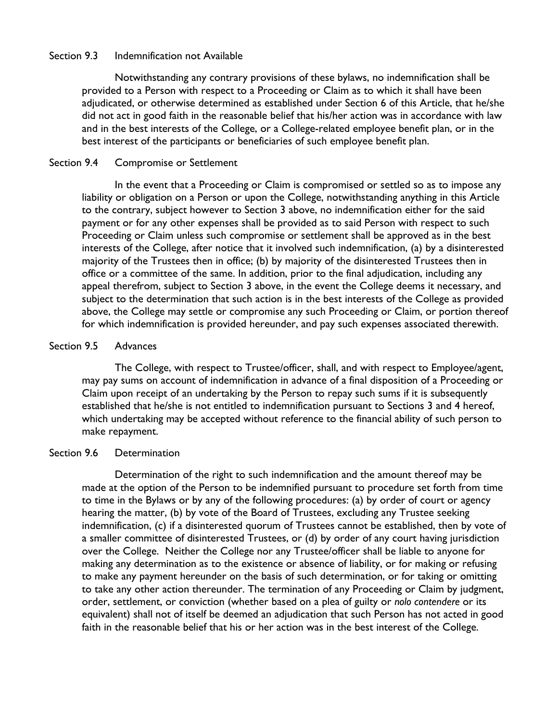### Section 9.3 Indemnification not Available

Notwithstanding any contrary provisions of these bylaws, no indemnification shall be provided to a Person with respect to a Proceeding or Claim as to which it shall have been adjudicated, or otherwise determined as established under Section 6 of this Article, that he/she did not act in good faith in the reasonable belief that his/her action was in accordance with law and in the best interests of the College, or a College-related employee benefit plan, or in the best interest of the participants or beneficiaries of such employee benefit plan.

### Section 9.4 Compromise or Settlement

In the event that a Proceeding or Claim is compromised or settled so as to impose any liability or obligation on a Person or upon the College, notwithstanding anything in this Article to the contrary, subject however to Section 3 above, no indemnification either for the said payment or for any other expenses shall be provided as to said Person with respect to such Proceeding or Claim unless such compromise or settlement shall be approved as in the best interests of the College, after notice that it involved such indemnification, (a) by a disinterested majority of the Trustees then in office; (b) by majority of the disinterested Trustees then in office or a committee of the same. In addition, prior to the final adjudication, including any appeal therefrom, subject to Section 3 above, in the event the College deems it necessary, and subject to the determination that such action is in the best interests of the College as provided above, the College may settle or compromise any such Proceeding or Claim, or portion thereof for which indemnification is provided hereunder, and pay such expenses associated therewith.

### Section 9.5 Advances

The College, with respect to Trustee/officer, shall, and with respect to Employee/agent, may pay sums on account of indemnification in advance of a final disposition of a Proceeding or Claim upon receipt of an undertaking by the Person to repay such sums if it is subsequently established that he/she is not entitled to indemnification pursuant to Sections 3 and 4 hereof, which undertaking may be accepted without reference to the financial ability of such person to make repayment.

## Section 9.6 Determination

Determination of the right to such indemnification and the amount thereof may be made at the option of the Person to be indemnified pursuant to procedure set forth from time to time in the Bylaws or by any of the following procedures: (a) by order of court or agency hearing the matter, (b) by vote of the Board of Trustees, excluding any Trustee seeking indemnification, (c) if a disinterested quorum of Trustees cannot be established, then by vote of a smaller committee of disinterested Trustees, or (d) by order of any court having jurisdiction over the College. Neither the College nor any Trustee/officer shall be liable to anyone for making any determination as to the existence or absence of liability, or for making or refusing to make any payment hereunder on the basis of such determination, or for taking or omitting to take any other action thereunder. The termination of any Proceeding or Claim by judgment, order, settlement, or conviction (whether based on a plea of guilty or *nolo contendere* or its equivalent) shall not of itself be deemed an adjudication that such Person has not acted in good faith in the reasonable belief that his or her action was in the best interest of the College.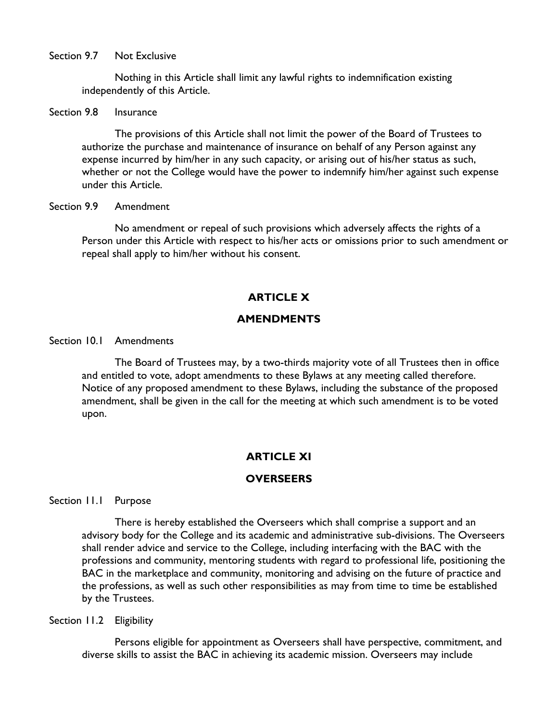Section 9.7 Not Exclusive

Nothing in this Article shall limit any lawful rights to indemnification existing independently of this Article.

### Section 9.8 Insurance

The provisions of this Article shall not limit the power of the Board of Trustees to authorize the purchase and maintenance of insurance on behalf of any Person against any expense incurred by him/her in any such capacity, or arising out of his/her status as such, whether or not the College would have the power to indemnify him/her against such expense under this Article.

### Section 9.9 Amendment

No amendment or repeal of such provisions which adversely affects the rights of a Person under this Article with respect to his/her acts or omissions prior to such amendment or repeal shall apply to him/her without his consent.

# **ARTICLE X**

# **AMENDMENTS**

# Section 10.1 Amendments

The Board of Trustees may, by a two-thirds majority vote of all Trustees then in office and entitled to vote, adopt amendments to these Bylaws at any meeting called therefore. Notice of any proposed amendment to these Bylaws, including the substance of the proposed amendment, shall be given in the call for the meeting at which such amendment is to be voted upon.

# **ARTICLE XI**

# **OVERSEERS**

Section 11.1 Purpose

There is hereby established the Overseers which shall comprise a support and an advisory body for the College and its academic and administrative sub-divisions. The Overseers shall render advice and service to the College, including interfacing with the BAC with the professions and community, mentoring students with regard to professional life, positioning the BAC in the marketplace and community, monitoring and advising on the future of practice and the professions, as well as such other responsibilities as may from time to time be established by the Trustees.

Section 11.2 Eligibility

Persons eligible for appointment as Overseers shall have perspective, commitment, and diverse skills to assist the BAC in achieving its academic mission. Overseers may include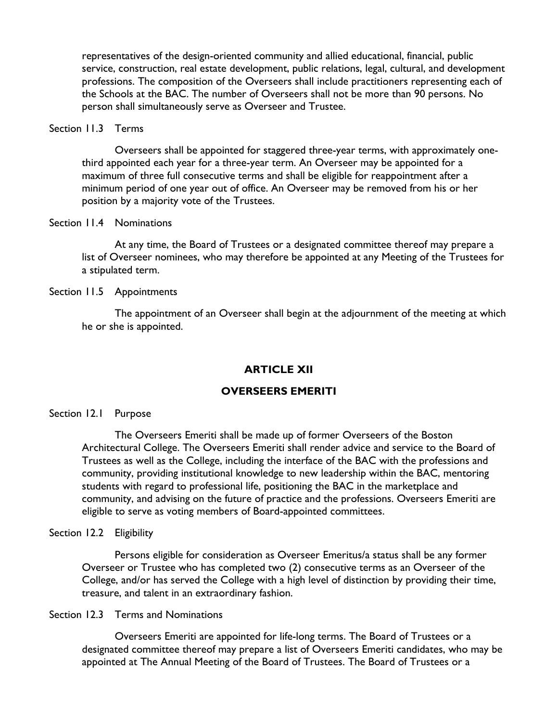representatives of the design-oriented community and allied educational, financial, public service, construction, real estate development, public relations, legal, cultural, and development professions. The composition of the Overseers shall include practitioners representing each of the Schools at the BAC. The number of Overseers shall not be more than 90 persons. No person shall simultaneously serve as Overseer and Trustee.

#### Section 11.3 Terms

Overseers shall be appointed for staggered three-year terms, with approximately onethird appointed each year for a three-year term. An Overseer may be appointed for a maximum of three full consecutive terms and shall be eligible for reappointment after a minimum period of one year out of office. An Overseer may be removed from his or her position by a majority vote of the Trustees.

#### Section 11.4 Nominations

At any time, the Board of Trustees or a designated committee thereof may prepare a list of Overseer nominees, who may therefore be appointed at any Meeting of the Trustees for a stipulated term.

Section 11.5 Appointments

The appointment of an Overseer shall begin at the adjournment of the meeting at which he or she is appointed.

#### **ARTICLE XII**

### **OVERSEERS EMERITI**

#### Section 12.1 Purpose

The Overseers Emeriti shall be made up of former Overseers of the Boston Architectural College. The Overseers Emeriti shall render advice and service to the Board of Trustees as well as the College, including the interface of the BAC with the professions and community, providing institutional knowledge to new leadership within the BAC, mentoring students with regard to professional life, positioning the BAC in the marketplace and community, and advising on the future of practice and the professions. Overseers Emeriti are eligible to serve as voting members of Board-appointed committees.

#### Section 12.2 Eligibility

Persons eligible for consideration as Overseer Emeritus/a status shall be any former Overseer or Trustee who has completed two (2) consecutive terms as an Overseer of the College, and/or has served the College with a high level of distinction by providing their time, treasure, and talent in an extraordinary fashion.

#### Section 12.3 Terms and Nominations

Overseers Emeriti are appointed for life-long terms. The Board of Trustees or a designated committee thereof may prepare a list of Overseers Emeriti candidates, who may be appointed at The Annual Meeting of the Board of Trustees. The Board of Trustees or a